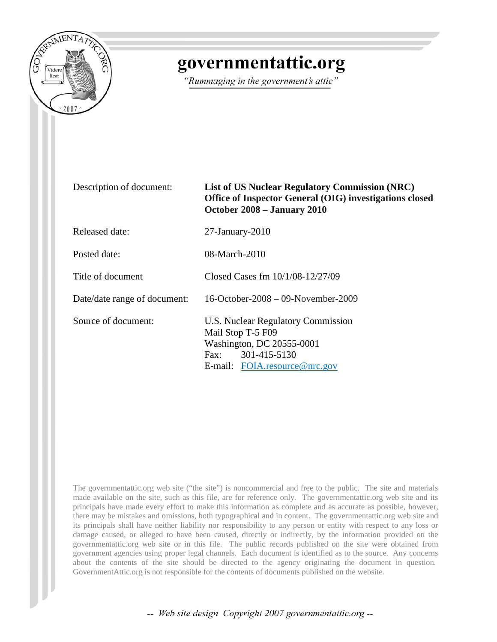

# governmentattic.org

"Rummaging in the government's attic"

| Description of document:     | <b>List of US Nuclear Regulatory Commission (NRC)</b><br>Office of Inspector General (OIG) investigations closed<br>October 2008 – January 2010 |
|------------------------------|-------------------------------------------------------------------------------------------------------------------------------------------------|
| <b>Released date:</b>        | $27$ -January- $2010$                                                                                                                           |
| Posted date:                 | $08$ -March-2010                                                                                                                                |
| Title of document            | Closed Cases fm 10/1/08-12/27/09                                                                                                                |
| Date/date range of document: | 16-October-2008 – 09-November-2009                                                                                                              |
| Source of document:          | U.S. Nuclear Regulatory Commission<br>Mail Stop T-5 F09<br>Washington, DC 20555-0001<br>301-415-5130<br>Fax:<br>E-mail: FOIA.resource@nrc.gov   |

The governmentattic.org web site ("the site") is noncommercial and free to the public. The site and materials made available on the site, such as this file, are for reference only. The governmentattic.org web site and its principals have made every effort to make this information as complete and as accurate as possible, however, there may be mistakes and omissions, both typographical and in content. The governmentattic.org web site and its principals shall have neither liability nor responsibility to any person or entity with respect to any loss or damage caused, or alleged to have been caused, directly or indirectly, by the information provided on the governmentattic.org web site or in this file. The public records published on the site were obtained from government agencies using proper legal channels. Each document is identified as to the source. Any concerns about the contents of the site should be directed to the agency originating the document in question. GovernmentAttic.org is not responsible for the contents of documents published on the website.

-- Web site design Copyright 2007 governmentattic.org --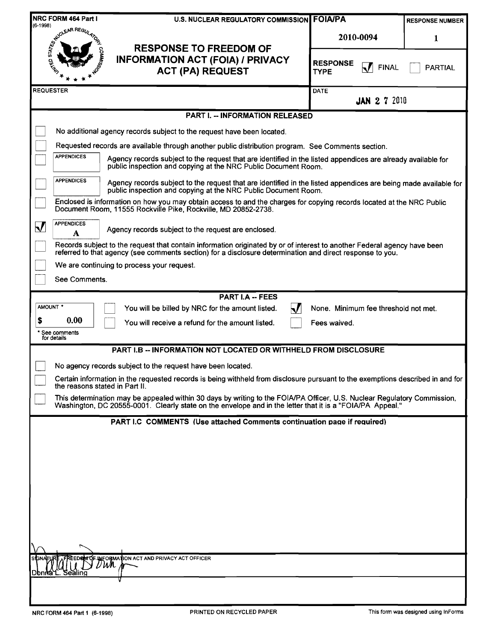| (6-1998)                                                              | NRC FORM 464 Part I<br><b>U.S. NUCLEAR REGULATORY COMMISSION FOIA/PA</b>                                                                                                                                                              |                                                | <b>RESPONSE NUMBER</b> |  |  |  |  |
|-----------------------------------------------------------------------|---------------------------------------------------------------------------------------------------------------------------------------------------------------------------------------------------------------------------------------|------------------------------------------------|------------------------|--|--|--|--|
|                                                                       |                                                                                                                                                                                                                                       | 2010-0094                                      | 1                      |  |  |  |  |
|                                                                       | <b>SALLOUEAR REGULAR</b><br><b>RESPONSE TO FREEDOM OF</b><br><b>INFORMATION ACT (FOIA) / PRIVACY</b><br><b>CALLANT</b><br><b>ACT (PA) REQUEST</b>                                                                                     | <b>RESPONSE</b><br><b>FINAL</b><br><b>TYPE</b> | <b>PARTIAL</b>         |  |  |  |  |
| <b>REQUESTER</b>                                                      |                                                                                                                                                                                                                                       | <b>DATE</b><br><b>JAN 2 7 2010</b>             |                        |  |  |  |  |
|                                                                       | <b>PART I. -- INFORMATION RELEASED</b>                                                                                                                                                                                                |                                                |                        |  |  |  |  |
|                                                                       | No additional agency records subject to the request have been located.                                                                                                                                                                |                                                |                        |  |  |  |  |
|                                                                       | Requested records are available through another public distribution program. See Comments section.                                                                                                                                    |                                                |                        |  |  |  |  |
|                                                                       | <b>APPENDICES</b><br>Agency records subject to the request that are identified in the listed appendices are already available for<br>public inspection and copying at the NRC Public Document Room.                                   |                                                |                        |  |  |  |  |
|                                                                       | <b>APPENDICES</b><br>Agency records subject to the request that are identified in the listed appendices are being made available for<br>public inspection and copying at the NRC Public Document Room.                                |                                                |                        |  |  |  |  |
|                                                                       | Enclosed is information on how you may obtain access to and the charges for copying records located at the NRC Public<br>Document Room, 11555 Rockville Pike, Rockville, MD 20852-2738.                                               |                                                |                        |  |  |  |  |
| $\bm{\nabla}$                                                         | <b>APPENDICES</b><br>Agency records subject to the request are enclosed.<br>A                                                                                                                                                         |                                                |                        |  |  |  |  |
|                                                                       | Records subject to the request that contain information originated by or of interest to another Federal agency have been<br>referred to that agency (see comments section) for a disclosure determination and direct response to you. |                                                |                        |  |  |  |  |
|                                                                       | We are continuing to process your request.                                                                                                                                                                                            |                                                |                        |  |  |  |  |
|                                                                       | See Comments.                                                                                                                                                                                                                         |                                                |                        |  |  |  |  |
|                                                                       | <b>PART I.A -- FEES</b>                                                                                                                                                                                                               |                                                |                        |  |  |  |  |
| AMOUNT <sup>*</sup>                                                   | You will be billed by NRC for the amount listed.                                                                                                                                                                                      | None. Minimum fee threshold not met.           |                        |  |  |  |  |
|                                                                       | 0.00<br>You will receive a refund for the amount listed.<br>* See comments<br>for details                                                                                                                                             | Fees waived.                                   |                        |  |  |  |  |
|                                                                       | <b>PART I.B -- INFORMATION NOT LOCATED OR WITHHELD FROM DISCLOSURE</b>                                                                                                                                                                |                                                |                        |  |  |  |  |
|                                                                       | No agency records subject to the request have been located.                                                                                                                                                                           |                                                |                        |  |  |  |  |
|                                                                       | Certain information in the requested records is being withheld from disclosure pursuant to the exemptions described in and for<br>the reasons stated in Part II.                                                                      |                                                |                        |  |  |  |  |
|                                                                       | This determination may be appealed within 30 days by writing to the FOIA/PA Officer, U.S. Nuclear Regulatory Commission,<br>Washington, DC 20555-0001. Clearly state on the envelope and in the letter that it is a "FOIA/PA Appeal." |                                                |                        |  |  |  |  |
|                                                                       | PART I.C COMMENTS (Use attached Comments continuation page if required)                                                                                                                                                               |                                                |                        |  |  |  |  |
|                                                                       |                                                                                                                                                                                                                                       |                                                |                        |  |  |  |  |
|                                                                       |                                                                                                                                                                                                                                       |                                                |                        |  |  |  |  |
|                                                                       |                                                                                                                                                                                                                                       |                                                |                        |  |  |  |  |
|                                                                       |                                                                                                                                                                                                                                       |                                                |                        |  |  |  |  |
|                                                                       |                                                                                                                                                                                                                                       |                                                |                        |  |  |  |  |
|                                                                       |                                                                                                                                                                                                                                       |                                                |                        |  |  |  |  |
|                                                                       |                                                                                                                                                                                                                                       |                                                |                        |  |  |  |  |
|                                                                       |                                                                                                                                                                                                                                       |                                                |                        |  |  |  |  |
|                                                                       |                                                                                                                                                                                                                                       |                                                |                        |  |  |  |  |
| <b>FREED ON OF INFORMATION ACT AND PRIVACY ACT OFFICER</b><br>$\n  l$ |                                                                                                                                                                                                                                       |                                                |                        |  |  |  |  |
|                                                                       | sealinc                                                                                                                                                                                                                               |                                                |                        |  |  |  |  |
|                                                                       |                                                                                                                                                                                                                                       |                                                |                        |  |  |  |  |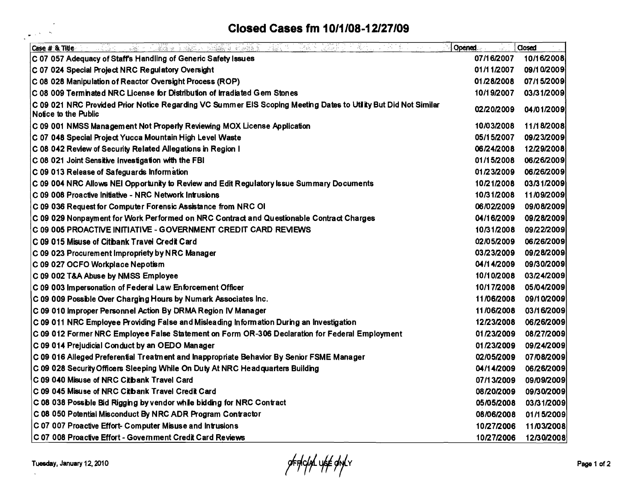# **Closed Cases fm 10/1/08-12127/09**

| 1999年,我们的人们的人们,我们的人们,我们们的人们,我们们的人们的人们,我们们的人们的人们。<br>不落在 计子系统<br>Case # & Title<br>$\sigma_{\rm eff}^{\rm (obs)}$ and                   | <b>Opened</b> | Closed     |
|----------------------------------------------------------------------------------------------------------------------------------------|---------------|------------|
| C 07 057 Adequacy of Staff's Handling of Generic Safety Issues                                                                         | 07/16/2007    | 10/16/2008 |
| C 07 024 Special Project NRC Regulatory Oversight                                                                                      | 01/11/2007    | 09/10/2009 |
| C 08 028 Manipulation of Reactor Oversight Process (ROP)                                                                               | 01/28/2008    | 07/15/2009 |
| C 08 009 Terminated NRC License for Distribution of Irradiated Gem Stones                                                              | 10/19/2007    | 03/31/2009 |
| C 09 021 NRC Provided Prior Notice Regarding VC Summer EIS Scoping Meeting Dates to Utlity But Did Not Similar<br>Notice to the Public | 02/20/2009    | 04/01/2009 |
| C 09 001 NMSS Management Not Properly Reviewing MOX License Application                                                                | 10/03/2008    | 11/18/2008 |
| C 07 048 Special Project Yucca Mountain High Level Waste                                                                               | 05/15/2007    | 09/23/2009 |
| C 08 042 Review of Security Related Allegations in Region I                                                                            | 06/24/2008    | 12/29/2008 |
| C 08 021 Joint Sensitive Investigation with the FBI                                                                                    | 01/15/2008    | 06/26/2009 |
| C 09 013 Release of Safeguards Information                                                                                             | 01/23/2009    | 06/26/2009 |
| C 09 004 NRC Allows NEI Opportunity to Review and Edit Regulatory Issue Summary Documents                                              | 10/21/2008    | 03/31/2009 |
| C 09 008 Proactive Initiative - NRC Network Intrusions                                                                                 | 10/31/2008    | 11/09/2009 |
| C 09 036 Request for Computer Forensic Assistance from NRC OI                                                                          | 06/02/2009    | 09/08/2009 |
| C 09 029 Nonpayment for Work Performed on NRC Contract and Questionable Contract Charges                                               | 04/16/2009    | 09/28/2009 |
| C 09 005 PROACTIVE INITIATIVE - GOVERNMENT CREDIT CARD REVIEWS                                                                         | 10/31/2008    | 09/22/2009 |
| C 09 015 Misuse of Citibank Travel Credit Card                                                                                         | 02/05/2009    | 06/26/2009 |
| C 09 023 Procurement Impropriety by NRC Manager                                                                                        | 03/23/2009    | 09/28/2009 |
| C 09 027 OCFO Workplace Nepotism                                                                                                       | 04/14/2009    | 09/30/2009 |
| C 09 002 T&A Abuse by NMSS Employee                                                                                                    | 10/10/2008    | 03/24/2009 |
| C 09 003 Impersonation of Federal Law Enforcement Officer                                                                              | 10/17/2008    | 05/04/2009 |
| C 09 009 Possible Over Charging Hours by Numark Associates Inc.                                                                        | 11/06/2008    | 09/10/2009 |
| C 09 010 Improper Personnel Action By DRMA Region IV Manager                                                                           | 11/06/2008    | 03/16/2009 |
| C 09 011 NRC Employee Providing False and Misleading Information During an Investigation                                               | 12/23/2008    | 06/26/2009 |
| C 09 012 Former NRC Employee False Statement on Form OR-306 Declaration for Federal Employment                                         | 01/23/2009    | 08/27/2009 |
| C 09 014 Prejudicial Conduct by an OEDO Manager                                                                                        | 01/23/2009    | 09/24/2009 |
| C 09 016 Alleged Preferential Treatment and Inappropriate Behavior By Senior FSME Manager                                              | 02/05/2009    | 07/08/2009 |
| C 09 028 Security Officers Sleeping While On Duty At NRC Head quarters Building                                                        | 04/14/2009    | 06/26/2009 |
| C 09 040 Misuse of NRC Citibank Travel Card                                                                                            | 07/13/2009    | 09/09/2009 |
| C 09 045 Misuse of NRC Citibank Travel Credit Card                                                                                     | 08/20/2009    | 09/30/2009 |
| C 08 038 Possible Bid Rigging by vendor while bidding for NRC Contract                                                                 | 05/05/2008    | 03/31/2009 |
| C 08 050 Potential Misconduct By NRC ADR Program Contractor                                                                            | 08/06/2008    | 01/15/2009 |
| C 07 007 Proactive Effort- Computer Misuse and Intrusions                                                                              | 10/27/2006    | 11/03/2008 |
| C 07 008 Proactive Effort - Government Credit Card Reviews                                                                             | 10/27/2006    | 12/30/2008 |

 $\bar{\mathbf{r}}$ 

 $\sim 10^{11}$  km  $^{-1}$  $\frac{1}{\sqrt{2\pi}}\left(\frac{1}{\sqrt{2\pi}}\right)^{1/2}\frac{1}{\sqrt{2\pi}}\frac{d\bar{d}}{d\bar{d}}\label{eq:2.1}$ 

gfordigh und gly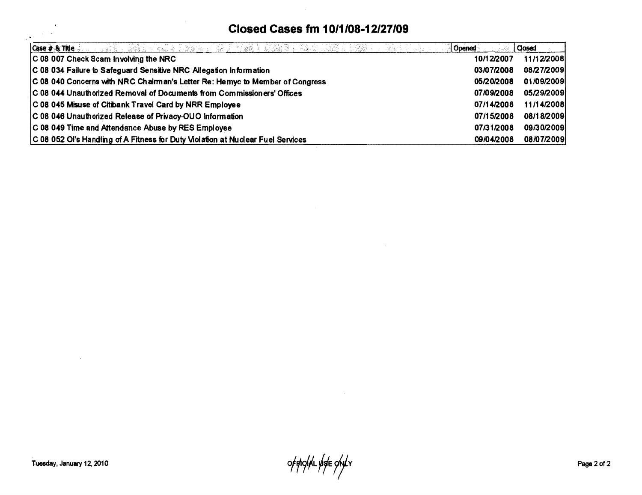# **Closed Cases fm 10/1/08-12/27/09**

 $\sim 10^7$ 

| Closed Cases fm 10/1/08-12/27/09                                                  |            |            |  |  |
|-----------------------------------------------------------------------------------|------------|------------|--|--|
| ISSE PAS EDEL PISK PRINT I JASHA PAST PAST PAS<br>Case # & Title<br>see that belo | Opened     | Closed     |  |  |
| C 08 007 Check Scam Involving the NRC                                             | 10/12/2007 | 11/12/2008 |  |  |
| C 08 034 Failure to Safeguard Sensitive NRC Allegation Information                | 03/07/2008 | 08/27/2009 |  |  |
| C 08 040 Concerns with NRC Chairman's Letter Re: Hemyc to Member of Congress      | 05/20/2008 | 01/09/2009 |  |  |
| C 08 044 Unauthorized Removal of Documents from Commissioners' Offices            | 07/09/2008 | 05/29/2009 |  |  |
| C 08 045 Misuse of Citibank Travel Card by NRR Employee                           | 07/14/2008 | 11/14/2008 |  |  |
| C 08 046 Unauthorized Release of Privacy-OUO Information                          | 07/15/2008 | 08/18/2009 |  |  |
| C 08 049 Time and Attendance Abuse by RES Employee                                | 07/31/2008 | 09/30/2009 |  |  |
| C 08 052 OI's Handling of A Fitness for Duty Violation at Nuclear Fuel Services   | 09/04/2008 | 08/07/2009 |  |  |

official pape outr

 $\sim$   $\sim$